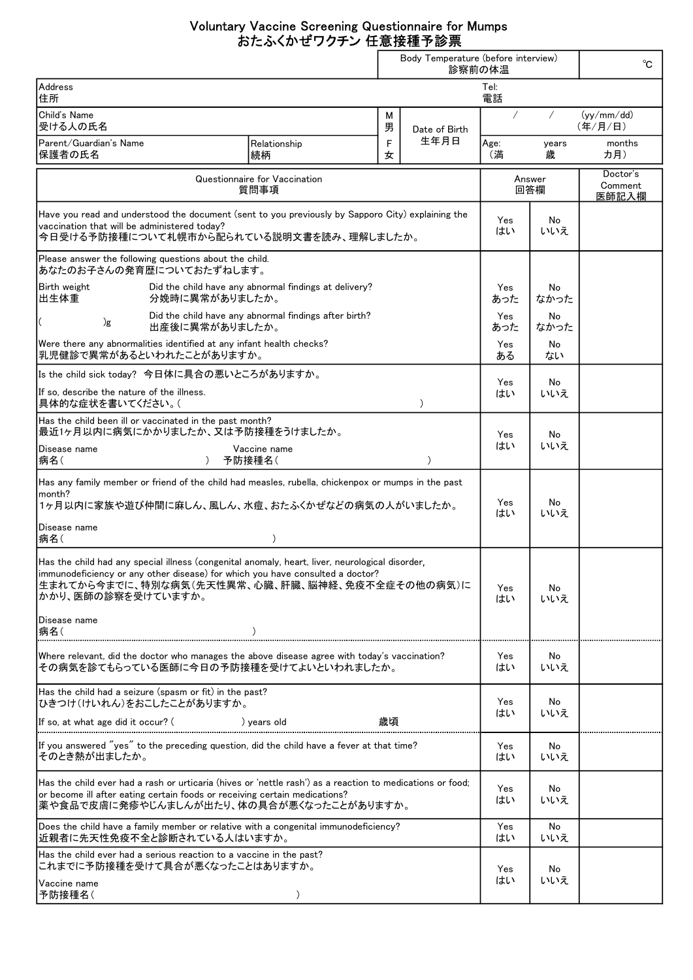## Voluntary Vaccine Screening Questionnaire for Mumps おたふくかぜワクチン 任意接種予診票

|                                                                                                                                                                                                                                                           |                                                       |        | Body Temperature (before interview)<br>診察前の体温 |                 |                              | °C                      |
|-----------------------------------------------------------------------------------------------------------------------------------------------------------------------------------------------------------------------------------------------------------|-------------------------------------------------------|--------|-----------------------------------------------|-----------------|------------------------------|-------------------------|
| Address<br>住所                                                                                                                                                                                                                                             |                                                       |        |                                               | Tel:<br>電話      |                              |                         |
| Child's Name<br>受ける人の氏名                                                                                                                                                                                                                                   |                                                       | М<br>男 | Date of Birth<br>生年月日                         | $\sqrt{2}$<br>Τ |                              | (vv/mm / dd)<br>(年/月/日) |
| Parent/Guardian's Name<br>保護者の氏名                                                                                                                                                                                                                          | Relationship<br>続柄                                    | F<br>女 |                                               | Age:<br>(満      | years<br>歳                   | months<br>カ月)           |
| Questionnaire for Vaccination<br>質問事項                                                                                                                                                                                                                     |                                                       |        | Answer<br>回答欄                                 |                 | Doctor's<br>Comment<br>医師記入欄 |                         |
| Have you read and understood the document (sent to you previously by Sapporo City) explaining the<br>vaccination that will be administered today?<br>今日受ける予防接種について札幌市から配られている説明文書を読み、理解しましたか。                                                             |                                                       |        | Yes<br>はい                                     | No<br>いいえ       |                              |                         |
| Please answer the following questions about the child.<br>あなたのお子さんの発育歴についておたずねします。                                                                                                                                                                        |                                                       |        |                                               |                 |                              |                         |
| Birth weight<br>出生体重<br>分娩時に異常がありましたか。                                                                                                                                                                                                                    | Did the child have any abnormal findings at delivery? |        |                                               | Yes<br>あった      | No<br>なかった                   |                         |
| )g<br>出産後に異常がありましたか。                                                                                                                                                                                                                                      | Did the child have any abnormal findings after birth? |        |                                               | Yes<br>あった      | No<br>なかった                   |                         |
| Were there any abnormalities identified at any infant health checks?<br>乳児健診で異常があるといわれたことがありますか。                                                                                                                                                          |                                                       |        |                                               | Yes<br>ある       | No<br>ない                     |                         |
| Is the child sick today? 今日体に具合の悪いところがありますか。<br>If so, describe the nature of the illness.<br> 具体的な症状を書いてください。(                                                                                                                                           |                                                       |        | $\lambda$                                     | Yes<br>はい       | No<br>いいえ                    |                         |
| Has the child been ill or vaccinated in the past month?<br> 最近1ヶ月以内に病気にかかりましたか、又は予防接種をうけましたか。                                                                                                                                                             |                                                       |        |                                               | Yes             | No                           |                         |
| Disease name<br> 病名(<br>$\lambda$                                                                                                                                                                                                                         | Vaccine name<br>予防接種名(                                |        | $\lambda$                                     | はい              | いいえ                          |                         |
| Has any family member or friend of the child had measles, rubella, chickenpox or mumps in the past<br>lmonth?<br>1ヶ月以内に家族や遊び仲間に麻しん、風しん、水痘、おたふくかぜなどの病気の人がいましたか。                                                                                            |                                                       |        |                                               | Yes<br>はい       | No<br>いいえ                    |                         |
| Disease name<br> 病名(                                                                                                                                                                                                                                      | $\mathcal{C}$                                         |        |                                               |                 |                              |                         |
| Has the child had any special illness (congenital anomaly, heart, liver, neurological disorder,<br>immunodeficiency or any other disease) for which you have consulted a doctor?<br>生まれてから今までに、特別な病気(先天性異常、心臓、肝臓、脳神経、免疫不全症その他の病気)に<br> かかり、医師の診察を受けていますか。 |                                                       |        |                                               | Yes<br>はい       | No<br>いいえ                    |                         |
| Disease name<br> 病名(                                                                                                                                                                                                                                      |                                                       |        |                                               |                 |                              |                         |
| Where relevant, did the doctor who manages the above disease agree with today's vaccination?<br>その病気を診てもらっている医師に今日の予防接種を受けてよいといわれましたか。                                                                                                                    |                                                       |        |                                               | Yes<br>はい       | No<br>いいえ                    |                         |
| Has the child had a seizure (spasm or fit) in the past?<br>ひきつけ(けいれん)をおこしたことがありますか。                                                                                                                                                                       |                                                       |        |                                               | Yes             | No                           |                         |
| If so, at what age did it occur? (                                                                                                                                                                                                                        | ) years old                                           | 歳頃     |                                               | はい              | いいえ                          |                         |
| If you answered "yes" to the preceding question, did the child have a fever at that time?<br>そのとき熱が出ましたか。                                                                                                                                                 |                                                       |        |                                               | Yes<br>はい       | No.<br>いいえ                   |                         |
| Has the child ever had a rash or urticaria (hives or 'nettle rash') as a reaction to medications or food;<br>or become ill after eating certain foods or receiving certain medications?<br>薬や食品で皮膚に発疹やじんましんが出たり、体の具合が悪くなったことがありますか。                       |                                                       |        |                                               | Yes<br>はい       | No<br>いいえ                    |                         |
| Does the child have a family member or relative with a congenital immunodeficiency?<br> 近親者に先天性免疫不全と診断されている人はいますか。                                                                                                                                        |                                                       |        |                                               | Yes<br>はい       | No<br>いいえ                    |                         |
| Has the child ever had a serious reaction to a vaccine in the past?<br>これまでに予防接種を受けて具合が悪くなったことはありますか。                                                                                                                                                     |                                                       |        |                                               | Yes<br>はい       | No<br>いいえ                    |                         |
| Vaccine name<br>予防接種名(                                                                                                                                                                                                                                    | $\mathcal{C}$                                         |        |                                               |                 |                              |                         |